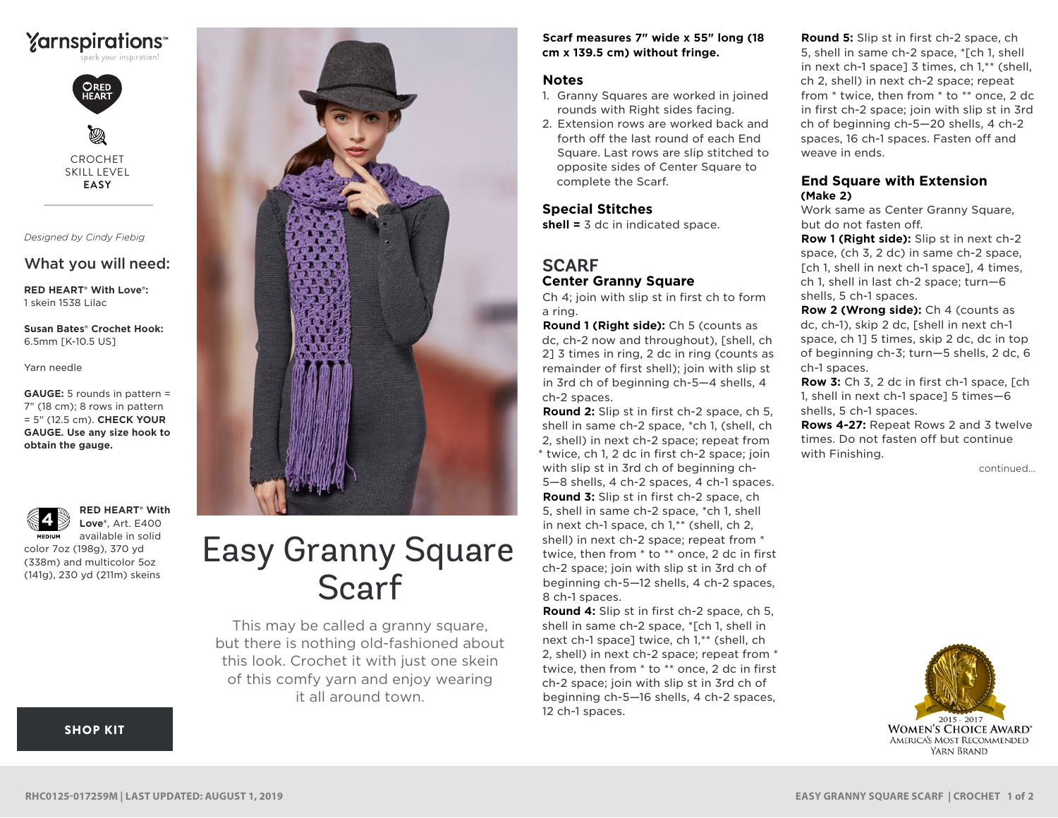



CROCHET SKILL LEVEL **EASY**

*Designed by Cindy Fiebig*

## What you will need:

**RED HEART® With Love®:** 1 skein 1538 Lilac

**Susan Bates® Crochet Hook:** 6.5mm [K-10.5 US]

Yarn needle

**GAUGE:** 5 rounds in pattern = 7" (18 cm); 8 rows in pattern = 5" (12.5 cm). **CHECK YOUR GAUGE. Use any size hook to obtain the gauge.**



**RED HEART® With Love®**, Art. E400 available in solid

color 7oz (198g), 370 yd (338m) and multicolor 5oz (141g), 230 yd (211m) skeins



# Easy Granny Square Scarf

This may be called a granny square, but there is nothing old-fashioned about this look. Crochet it with just one skein of this comfy yarn and enjoy wearing it all around town.

#### **Scarf measures 7" wide x 55" long (18 cm x 139.5 cm) without fringe.**

#### **Notes**

- 1. Granny Squares are worked in joined rounds with Right sides facing.
- 2. Extension rows are worked back and forth off the last round of each End Square. Last rows are slip stitched to opposite sides of Center Square to complete the Scarf.

### **Special Stitches**

**shell =** 3 dc in indicated space.

## **SCARF Center Granny Square**

Ch 4; join with slip st in first ch to form a ring.

**Round 1 (Right side):** Ch 5 (counts as dc, ch-2 now and throughout), [shell, ch 2] 3 times in ring, 2 dc in ring (counts as remainder of first shell); join with slip st in 3rd ch of beginning ch-5—4 shells, 4 ch-2 spaces.

**Round 2:** Slip st in first ch-2 space, ch 5, shell in same ch-2 space, \*ch 1, (shell, ch 2, shell) in next ch-2 space; repeat from \* twice, ch 1, 2 dc in first ch-2 space; join with slip st in 3rd ch of beginning ch-5—8 shells, 4 ch-2 spaces, 4 ch-1 spaces. **Round 3:** Slip st in first ch-2 space, ch 5, shell in same ch-2 space, \*ch 1, shell in next ch-1 space, ch 1,\*\* (shell, ch 2, shell) in next ch-2 space; repeat from \* twice, then from \* to \*\* once, 2 dc in first ch-2 space; join with slip st in 3rd ch of beginning ch-5—12 shells, 4 ch-2 spaces, 8 ch-1 spaces.

**Round 4:** Slip st in first ch-2 space, ch 5, shell in same ch-2 space, \*[ch 1, shell in next ch-1 space] twice, ch 1,\*\* (shell, ch 2, shell) in next ch-2 space; repeat from \* twice, then from \* to \*\* once, 2 dc in first ch-2 space; join with slip st in 3rd ch of beginning ch-5—16 shells, 4 ch-2 spaces, 12 ch-1 spaces.

**Round 5:** Slip st in first ch-2 space, ch 5, shell in same ch-2 space, \*[ch 1, shell in next ch-1 space] 3 times, ch 1,\*\* (shell, ch 2, shell) in next ch-2 space; repeat from \* twice, then from \* to \*\* once, 2 dc in first ch-2 space; join with slip st in 3rd ch of beginning ch-5—20 shells, 4 ch-2 spaces, 16 ch-1 spaces. Fasten off and weave in ends.

## **End Square with Extension (Make 2)**

Work same as Center Granny Square, but do not fasten off.

**Row 1 (Right side):** Slip st in next ch-2 space, (ch 3, 2 dc) in same ch-2 space, [ch 1, shell in next ch-1 space], 4 times, ch 1, shell in last ch-2 space; turn—6 shells, 5 ch-1 spaces.

**Row 2 (Wrong side):** Ch 4 (counts as dc, ch-1), skip 2 dc, [shell in next ch-1 space, ch 1] 5 times, skip 2 dc, dc in top of beginning ch-3; turn—5 shells, 2 dc, 6 ch-1 spaces.

**Row 3:** Ch 3, 2 dc in first ch-1 space, [ch 1, shell in next ch-1 space] 5 times—6 shells, 5 ch-1 spaces.

**Rows 4-27:** Repeat Rows 2 and 3 twelve times. Do not fasten off but continue with Finishing.

continued...



[SHOP KIT](https://www.yarnspirations.com/red-heart-easy-granny-square-scarf/RHC0125-017259M.html#utm_source=pdf-yarnspirations&utm_medium=referral&utm_campaign=pdf-RHC0125-017259M)